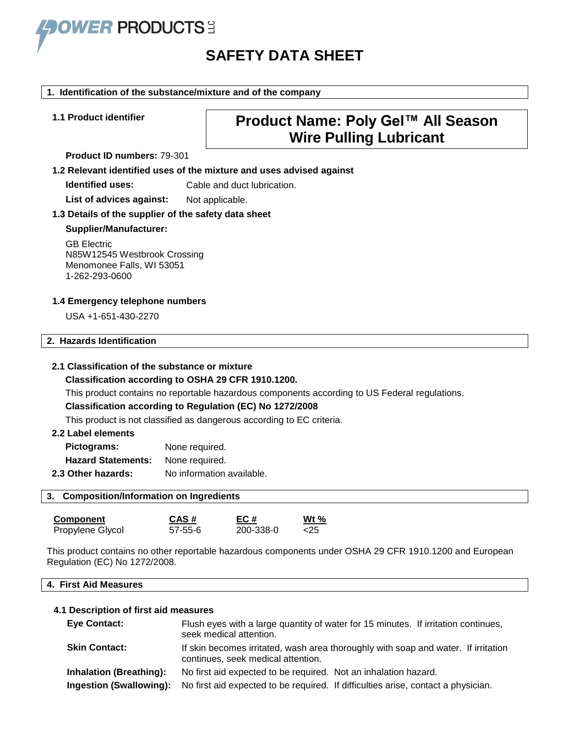

# **SAFETY DATA SHEET**

#### **1. Identification of the substance/mixture and of the company**

#### **Product ID numbers:** 79-301

# **1.1 Product identifier Product Name: Poly Gel™ All Season Wire Pulling Lubricant**

**1.2 Relevant identified uses of the mixture and uses advised against**

**Identified uses:** Cable and duct lubrication.

List of advices against: Not applicable.

#### **1.3 Details of the supplier of the safety data sheet**

#### **Supplier/Manufacturer:**

GB Electric N85W12545 Westbrook Crossing Menomonee Falls, WI 53051 1-262-293-0600

#### **1.4 Emergency telephone numbers**

USA +1-651-430-2270

#### **2. Hazards Identification**

#### **2.1 Classification of the substance or mixture**

#### **Classification according to OSHA 29 CFR 1910.1200.**

This product contains no reportable hazardous components according to US Federal regulations.

#### **Classification according to Regulation (EC) No 1272/2008**

This product is not classified as dangerous according to EC criteria.

#### **2.2 Label elements**

| Pictograms:               | None required.            |
|---------------------------|---------------------------|
| <b>Hazard Statements:</b> | None required.            |
| 2.3 Other hazards:        | No information available. |

#### **3. Composition/Information on Ingredients**

| Component        | CAS#          | EC#       | Wt $%$ |
|------------------|---------------|-----------|--------|
| Propylene Glycol | $57 - 55 - 6$ | 200-338-0 | <25    |

This product contains no other reportable hazardous components under OSHA 29 CFR 1910.1200 and European Regulation (EC) No 1272/2008.

#### **4. First Aid Measures**

#### **4.1 Description of first aid measures**

| <b>Eye Contact:</b>            | Flush eyes with a large quantity of water for 15 minutes. If irritation continues,<br>seek medical attention.            |
|--------------------------------|--------------------------------------------------------------------------------------------------------------------------|
| <b>Skin Contact:</b>           | If skin becomes irritated, wash area thoroughly with soap and water. If irritation<br>continues, seek medical attention. |
| <b>Inhalation (Breathing):</b> | No first aid expected to be required. Not an inhalation hazard.                                                          |
| Ingestion (Swallowing):        | No first aid expected to be required. If difficulties arise, contact a physician.                                        |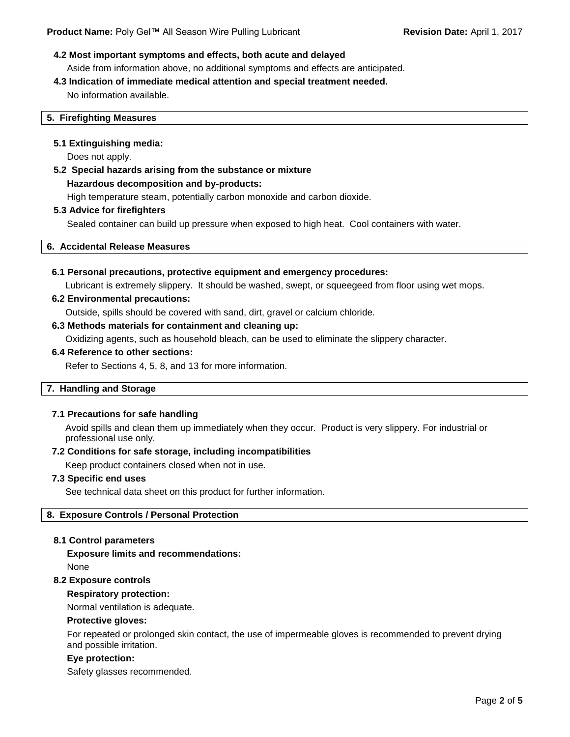#### **4.2 Most important symptoms and effects, both acute and delayed**

Aside from information above, no additional symptoms and effects are anticipated.

# **4.3 Indication of immediate medical attention and special treatment needed.**

No information available.

#### **5. Firefighting Measures**

#### **5.1 Extinguishing media:**

Does not apply.

# **5.2 Special hazards arising from the substance or mixture Hazardous decomposition and by-products:** High temperature steam, potentially carbon monoxide and carbon dioxide.

#### **5.3 Advice for firefighters**

Sealed container can build up pressure when exposed to high heat. Cool containers with water.

#### **6. Accidental Release Measures**

#### **6.1 Personal precautions, protective equipment and emergency procedures:**

Lubricant is extremely slippery. It should be washed, swept, or squeegeed from floor using wet mops.

#### **6.2 Environmental precautions:**

Outside, spills should be covered with sand, dirt, gravel or calcium chloride.

#### **6.3 Methods materials for containment and cleaning up:**

Oxidizing agents, such as household bleach, can be used to eliminate the slippery character.

#### **6.4 Reference to other sections:**

Refer to Sections 4, 5, 8, and 13 for more information.

#### **7. Handling and Storage**

#### **7.1 Precautions for safe handling**

Avoid spills and clean them up immediately when they occur. Product is very slippery. For industrial or professional use only.

#### **7.2 Conditions for safe storage, including incompatibilities**

Keep product containers closed when not in use.

#### **7.3 Specific end uses**

See technical data sheet on this product for further information.

#### **8. Exposure Controls / Personal Protection**

#### **8.1 Control parameters**

**Exposure limits and recommendations:** None

#### **8.2 Exposure controls**

#### **Respiratory protection:**

Normal ventilation is adequate.

#### **Protective gloves:**

For repeated or prolonged skin contact, the use of impermeable gloves is recommended to prevent drying and possible irritation.

#### **Eye protection:**

Safety glasses recommended.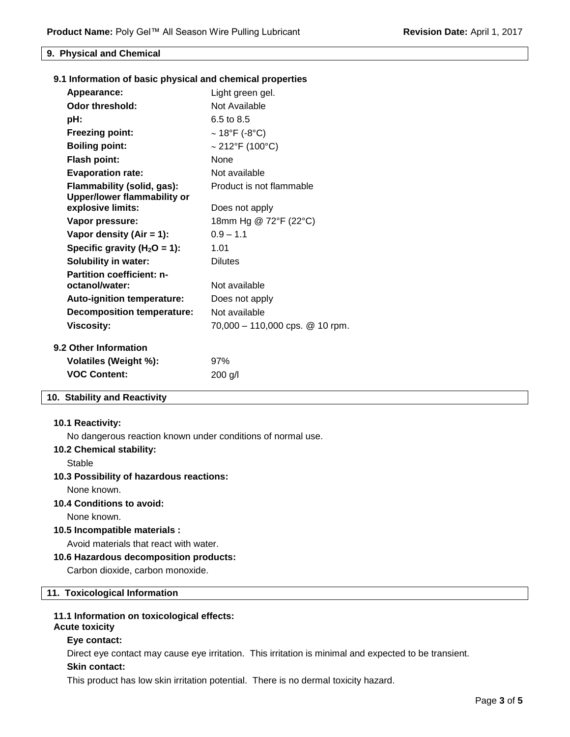#### **9. Physical and Chemical**

|  |  |  |  | 9.1 Information of basic physical and chemical properties |  |
|--|--|--|--|-----------------------------------------------------------|--|
|--|--|--|--|-----------------------------------------------------------|--|

| Appearance:                                               | Light green gel.                |
|-----------------------------------------------------------|---------------------------------|
| Odor threshold:                                           | Not Available                   |
| pH:                                                       | 6.5 to 8.5                      |
| <b>Freezing point:</b>                                    | $\sim$ 18°F (-8°C)              |
| <b>Boiling point:</b>                                     | $\sim$ 212°F (100°C)            |
| <b>Flash point:</b>                                       | None                            |
| <b>Evaporation rate:</b>                                  | Not available                   |
| Flammability (solid, gas):<br>Upper/lower flammability or | Product is not flammable        |
| explosive limits:                                         | Does not apply                  |
| Vapor pressure:                                           | 18mm Hg @ 72°F (22°C)           |
| Vapor density (Air = $1$ ):                               | $0.9 - 1.1$                     |
| Specific gravity ( $H_2O = 1$ ):                          | 1.01                            |
| <b>Solubility in water:</b>                               | <b>Dilutes</b>                  |
| <b>Partition coefficient: n-</b>                          |                                 |
| octanol/water:                                            | Not available                   |
| <b>Auto-ignition temperature:</b>                         | Does not apply                  |
| <b>Decomposition temperature:</b>                         | Not available                   |
| <b>Viscosity:</b>                                         | 70,000 - 110,000 cps. @ 10 rpm. |
| <b>9.2 Other Information</b>                              |                                 |
| Volatiles (Weight %):                                     | 97%                             |
| <b>VOC Content:</b>                                       | 200 g/l                         |

#### **10. Stability and Reactivity**

#### **10.1 Reactivity:**

No dangerous reaction known under conditions of normal use.

#### **10.2 Chemical stability:**

Stable

#### **10.3 Possibility of hazardous reactions:**

None known.

#### **10.4 Conditions to avoid:**

None known.

#### **10.5 Incompatible materials :**

Avoid materials that react with water.

#### **10.6 Hazardous decomposition products:**

Carbon dioxide, carbon monoxide.

## **11. Toxicological Information**

#### **11.1 Information on toxicological effects:**

# **Acute toxicity**

# **Eye contact:**

Direct eye contact may cause eye irritation. This irritation is minimal and expected to be transient.

# **Skin contact:**

This product has low skin irritation potential. There is no dermal toxicity hazard.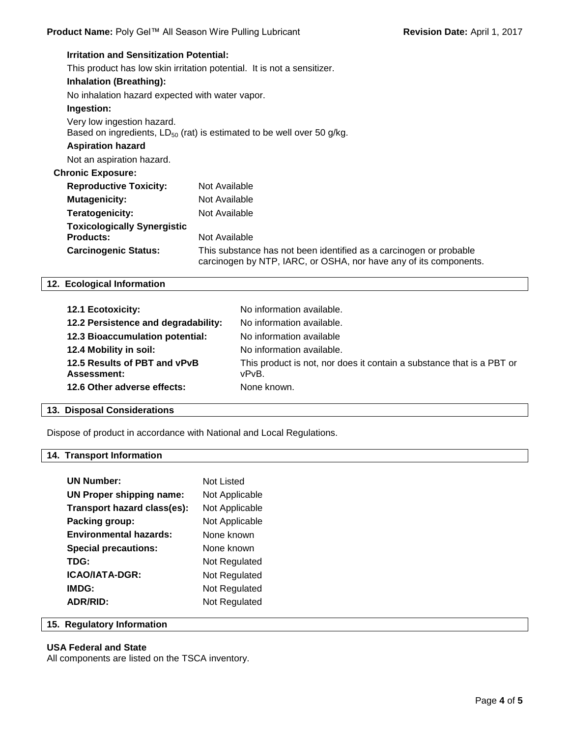| <b>Irritation and Sensitization Potential:</b>         |                                                                                                                                         |
|--------------------------------------------------------|-----------------------------------------------------------------------------------------------------------------------------------------|
|                                                        | This product has low skin irritation potential. It is not a sensitizer.                                                                 |
| <b>Inhalation (Breathing):</b>                         |                                                                                                                                         |
| No inhalation hazard expected with water vapor.        |                                                                                                                                         |
| Ingestion:                                             |                                                                                                                                         |
| Very low ingestion hazard.                             | Based on ingredients, $LD_{50}$ (rat) is estimated to be well over 50 g/kg.                                                             |
| <b>Aspiration hazard</b>                               |                                                                                                                                         |
| Not an aspiration hazard.                              |                                                                                                                                         |
| <b>Chronic Exposure:</b>                               |                                                                                                                                         |
| <b>Reproductive Toxicity:</b>                          | Not Available                                                                                                                           |
| <b>Mutagenicity:</b>                                   | Not Available                                                                                                                           |
| Teratogenicity:                                        | Not Available                                                                                                                           |
| <b>Toxicologically Synergistic</b><br><b>Products:</b> | Not Available                                                                                                                           |
| <b>Carcinogenic Status:</b>                            | This substance has not been identified as a carcinogen or probable<br>carcinogen by NTP, IARC, or OSHA, nor have any of its components. |

#### **12. Ecological Information**

| <b>12.1 Ecotoxicity:</b>                           | No information available.                                                      |
|----------------------------------------------------|--------------------------------------------------------------------------------|
| 12.2 Persistence and degradability:                | No information available.                                                      |
| 12.3 Bioaccumulation potential:                    | No information available                                                       |
| 12.4 Mobility in soil:                             | No information available.                                                      |
| 12.5 Results of PBT and vPvB<br><b>Assessment:</b> | This product is not, nor does it contain a substance that is a PBT or<br>vPvB. |
| 12.6 Other adverse effects:                        | None known.                                                                    |
|                                                    |                                                                                |

## **13. Disposal Considerations**

Dispose of product in accordance with National and Local Regulations.

### **14. Transport Information**

| <b>UN Number:</b>               | Not Listed     |
|---------------------------------|----------------|
| <b>UN Proper shipping name:</b> | Not Applicable |
| Transport hazard class(es):     | Not Applicable |
| Packing group:                  | Not Applicable |
| <b>Environmental hazards:</b>   | None known     |
| <b>Special precautions:</b>     | None known     |
| TDG:                            | Not Regulated  |
| <b>ICAO/IATA-DGR:</b>           | Not Regulated  |
| IMDG:                           | Not Regulated  |
| <b>ADR/RID:</b>                 | Not Regulated  |

#### **15. Regulatory Information**

#### **USA Federal and State**

All components are listed on the TSCA inventory.